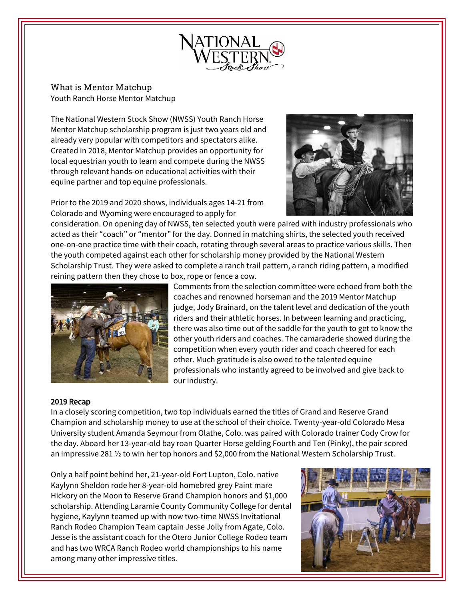

What is Mentor Matchup Youth Ranch Horse Mentor Matchup

The National Western Stock Show (NWSS) Youth Ranch Horse Mentor Matchup scholarship program is just two years old and already very popular with competitors and spectators alike. Created in 2018, Mentor Matchup provides an opportunity for local equestrian youth to learn and compete during the NWSS through relevant hands-on educational activities with their equine partner and top equine professionals.



Prior to the 2019 and 2020 shows, individuals ages 14-21 from Colorado and Wyoming were encouraged to apply for

consideration. On opening day of NWSS, ten selected youth were paired with industry professionals who acted as their "coach" or "mentor" for the day. Donned in matching shirts, the selected youth received one-on-one practice time with their coach, rotating through several areas to practice various skills. Then the youth competed against each other for scholarship money provided by the National Western Scholarship Trust. They were asked to complete a ranch trail pattern, a ranch riding pattern, a modified reining pattern then they chose to box, rope or fence a cow.



Comments from the selection committee were echoed from both the coaches and renowned horseman and the 2019 Mentor Matchup judge, Jody Brainard, on the talent level and dedication of the youth riders and their athletic horses. In between learning and practicing, there was also time out of the saddle for the youth to get to know the other youth riders and coaches. The camaraderie showed during the competition when every youth rider and coach cheered for each other. Much gratitude is also owed to the talented equine professionals who instantly agreed to be involved and give back to our industry.

## 2019 Recap

In a closely scoring competition, two top individuals earned the titles of Grand and Reserve Grand Champion and scholarship money to use at the school of their choice. Twenty-year-old Colorado Mesa University student Amanda Seymour from Olathe, Colo. was paired with Colorado trainer Cody Crow for the day. Aboard her 13-year-old bay roan Quarter Horse gelding Fourth and Ten (Pinky), the pair scored an impressive 281 ½ to win her top honors and \$2,000 from the National Western Scholarship Trust.

Only a half point behind her, 21-year-old Fort Lupton, Colo. native Kaylynn Sheldon rode her 8-year-old homebred grey Paint mare Hickory on the Moon to Reserve Grand Champion honors and \$1,000 scholarship. Attending Laramie County Community College for dental hygiene, Kaylynn teamed up with now two-time NWSS Invitational Ranch Rodeo Champion Team captain Jesse Jolly from Agate, Colo. Jesse is the assistant coach for the Otero Junior College Rodeo team and has two WRCA Ranch Rodeo world championships to his name among many other impressive titles.